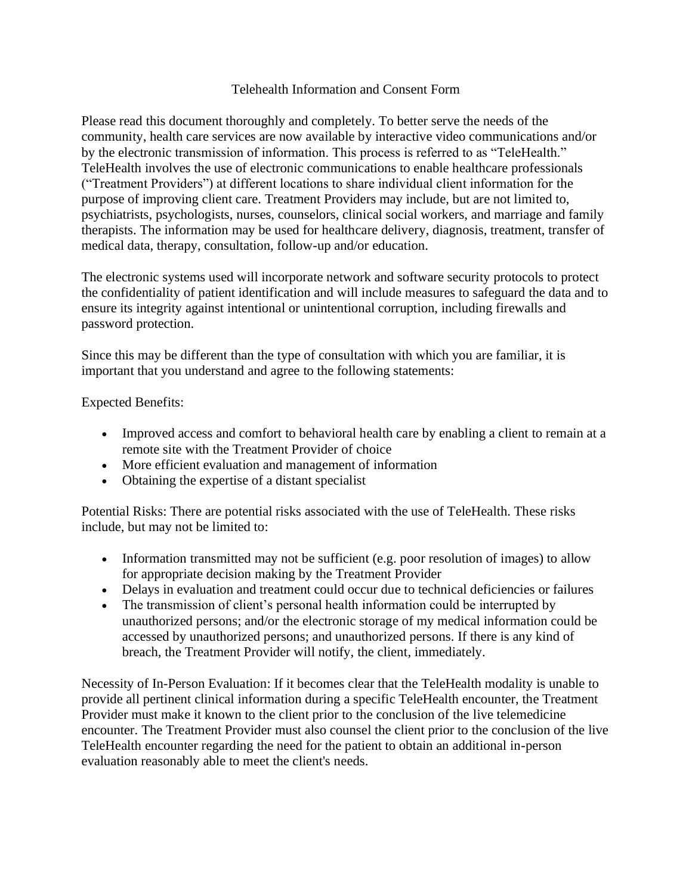## Telehealth Information and Consent Form

Please read this document thoroughly and completely. To better serve the needs of the community, health care services are now available by interactive video communications and/or by the electronic transmission of information. This process is referred to as "TeleHealth." TeleHealth involves the use of electronic communications to enable healthcare professionals ("Treatment Providers") at different locations to share individual client information for the purpose of improving client care. Treatment Providers may include, but are not limited to, psychiatrists, psychologists, nurses, counselors, clinical social workers, and marriage and family therapists. The information may be used for healthcare delivery, diagnosis, treatment, transfer of medical data, therapy, consultation, follow-up and/or education.

The electronic systems used will incorporate network and software security protocols to protect the confidentiality of patient identification and will include measures to safeguard the data and to ensure its integrity against intentional or unintentional corruption, including firewalls and password protection.

Since this may be different than the type of consultation with which you are familiar, it is important that you understand and agree to the following statements:

Expected Benefits:

- Improved access and comfort to behavioral health care by enabling a client to remain at a remote site with the Treatment Provider of choice
- More efficient evaluation and management of information
- Obtaining the expertise of a distant specialist

Potential Risks: There are potential risks associated with the use of TeleHealth. These risks include, but may not be limited to:

- Information transmitted may not be sufficient (e.g. poor resolution of images) to allow for appropriate decision making by the Treatment Provider
- Delays in evaluation and treatment could occur due to technical deficiencies or failures
- The transmission of client's personal health information could be interrupted by unauthorized persons; and/or the electronic storage of my medical information could be accessed by unauthorized persons; and unauthorized persons. If there is any kind of breach, the Treatment Provider will notify, the client, immediately.

Necessity of In-Person Evaluation: If it becomes clear that the TeleHealth modality is unable to provide all pertinent clinical information during a specific TeleHealth encounter, the Treatment Provider must make it known to the client prior to the conclusion of the live telemedicine encounter. The Treatment Provider must also counsel the client prior to the conclusion of the live TeleHealth encounter regarding the need for the patient to obtain an additional in-person evaluation reasonably able to meet the client's needs.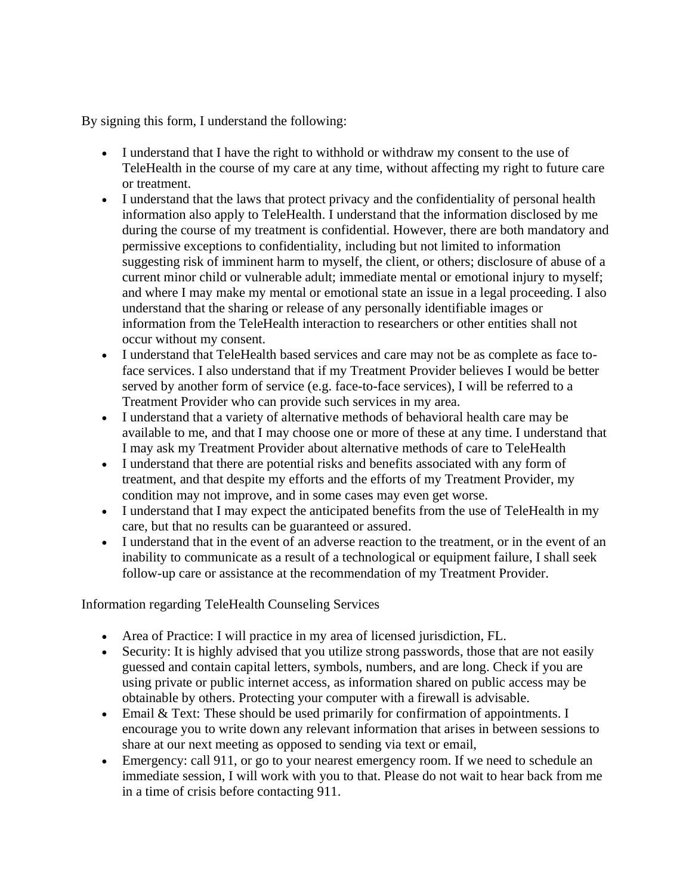By signing this form, I understand the following:

- I understand that I have the right to withhold or withdraw my consent to the use of TeleHealth in the course of my care at any time, without affecting my right to future care or treatment.
- I understand that the laws that protect privacy and the confidentiality of personal health information also apply to TeleHealth. I understand that the information disclosed by me during the course of my treatment is confidential. However, there are both mandatory and permissive exceptions to confidentiality, including but not limited to information suggesting risk of imminent harm to myself, the client, or others; disclosure of abuse of a current minor child or vulnerable adult; immediate mental or emotional injury to myself; and where I may make my mental or emotional state an issue in a legal proceeding. I also understand that the sharing or release of any personally identifiable images or information from the TeleHealth interaction to researchers or other entities shall not occur without my consent.
- I understand that TeleHealth based services and care may not be as complete as face toface services. I also understand that if my Treatment Provider believes I would be better served by another form of service (e.g. face-to-face services), I will be referred to a Treatment Provider who can provide such services in my area.
- I understand that a variety of alternative methods of behavioral health care may be available to me, and that I may choose one or more of these at any time. I understand that I may ask my Treatment Provider about alternative methods of care to TeleHealth
- I understand that there are potential risks and benefits associated with any form of treatment, and that despite my efforts and the efforts of my Treatment Provider, my condition may not improve, and in some cases may even get worse.
- I understand that I may expect the anticipated benefits from the use of TeleHealth in my care, but that no results can be guaranteed or assured.
- I understand that in the event of an adverse reaction to the treatment, or in the event of an inability to communicate as a result of a technological or equipment failure, I shall seek follow-up care or assistance at the recommendation of my Treatment Provider.

## Information regarding TeleHealth Counseling Services

- Area of Practice: I will practice in my area of licensed jurisdiction, FL.
- Security: It is highly advised that you utilize strong passwords, those that are not easily guessed and contain capital letters, symbols, numbers, and are long. Check if you are using private or public internet access, as information shared on public access may be obtainable by others. Protecting your computer with a firewall is advisable.
- Email & Text: These should be used primarily for confirmation of appointments. I encourage you to write down any relevant information that arises in between sessions to share at our next meeting as opposed to sending via text or email,
- Emergency: call 911, or go to your nearest emergency room. If we need to schedule an immediate session, I will work with you to that. Please do not wait to hear back from me in a time of crisis before contacting 911.